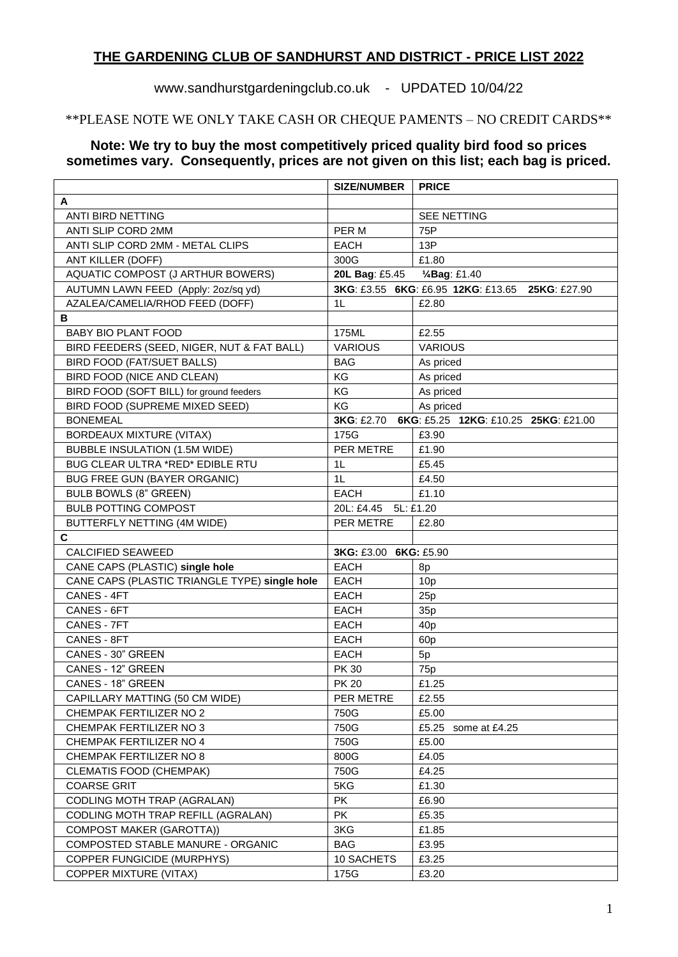#### **THE GARDENING CLUB OF SANDHURST AND DISTRICT - PRICE LIST 2022**

## www.sandhurstgardeningclub.co.uk - UPDATED 10/04/22

### \*\*PLEASE NOTE WE ONLY TAKE CASH OR CHEQUE PAMENTS – NO CREDIT CARDS\*\*

#### **Note: We try to buy the most competitively priced quality bird food so prices sometimes vary. Consequently, prices are not given on this list; each bag is priced.**

| A<br>ANTI BIRD NETTING<br><b>SEE NETTING</b><br>PER M<br>75P<br>ANTI SLIP CORD 2MM<br>ANTI SLIP CORD 2MM - METAL CLIPS<br><b>EACH</b><br>13P<br>ANT KILLER (DOFF)<br>£1.80<br>300G<br>AQUATIC COMPOST (J ARTHUR BOWERS)<br>20L Bag: £5.45<br>1/4Bag: £1.40<br>AUTUMN LAWN FEED (Apply: 2oz/sq yd)<br>3KG: £3.55 6KG: £6.95 12KG: £13.65 25KG: £27.90<br>AZALEA/CAMELIA/RHOD FEED (DOFF)<br>£2.80<br>1 <sub>L</sub><br>в<br><b>BABY BIO PLANT FOOD</b><br>175ML<br>£2.55<br><b>VARIOUS</b><br>BIRD FEEDERS (SEED, NIGER, NUT & FAT BALL)<br><b>VARIOUS</b><br><b>BIRD FOOD (FAT/SUET BALLS)</b><br><b>BAG</b><br>As priced<br>BIRD FOOD (NICE AND CLEAN)<br>KG<br>As priced<br>BIRD FOOD (SOFT BILL) for ground feeders<br>KG<br>As priced<br>BIRD FOOD (SUPREME MIXED SEED)<br>KG<br>As priced<br>6KG: £5.25 12KG: £10.25 25KG: £21.00<br><b>BONEMEAL</b><br><b>3KG: £2.70</b><br><b>BORDEAUX MIXTURE (VITAX)</b><br>175G<br>£3.90<br>PER METRE<br><b>BUBBLE INSULATION (1.5M WIDE)</b><br>£1.90<br>BUG CLEAR ULTRA *RED* EDIBLE RTU<br>£5.45<br>1 <sub>L</sub><br>1 <sub>L</sub><br><b>BUG FREE GUN (BAYER ORGANIC)</b><br>£4.50<br>£1.10<br><b>BULB BOWLS (8" GREEN)</b><br><b>EACH</b><br><b>BULB POTTING COMPOST</b><br>20L: £4.45<br>5L: £1.20<br>BUTTERFLY NETTING (4M WIDE)<br>PER METRE<br>£2.80<br>C<br><b>CALCIFIED SEAWEED</b><br>3KG: £3.00 6KG: £5.90<br>CANE CAPS (PLASTIC) single hole<br><b>EACH</b><br>8p<br>CANE CAPS (PLASTIC TRIANGLE TYPE) single hole<br><b>EACH</b><br>10 <sub>p</sub><br>CANES - 4FT<br><b>EACH</b><br>25p<br>CANES - 6FT<br><b>EACH</b><br>35p<br>CANES - 7FT<br><b>EACH</b><br>40 <sub>p</sub><br>CANES - 8FT<br><b>EACH</b><br>60p<br>CANES - 30" GREEN<br><b>EACH</b><br>5p<br>CANES - 12" GREEN<br><b>PK30</b><br>75p<br>£1.25<br>CANES - 18" GREEN<br><b>PK 20</b><br>CAPILLARY MATTING (50 CM WIDE)<br>PER METRE<br>£2.55<br>CHEMPAK FERTILIZER NO 2<br>750G<br>£5.00<br>£5.25<br>CHEMPAK FERTILIZER NO 3<br>750G<br>some at £4.25<br>£5.00<br>CHEMPAK FERTILIZER NO 4<br>750G |                         | <b>SIZE/NUMBER</b> | <b>PRICE</b> |  |  |  |  |
|-------------------------------------------------------------------------------------------------------------------------------------------------------------------------------------------------------------------------------------------------------------------------------------------------------------------------------------------------------------------------------------------------------------------------------------------------------------------------------------------------------------------------------------------------------------------------------------------------------------------------------------------------------------------------------------------------------------------------------------------------------------------------------------------------------------------------------------------------------------------------------------------------------------------------------------------------------------------------------------------------------------------------------------------------------------------------------------------------------------------------------------------------------------------------------------------------------------------------------------------------------------------------------------------------------------------------------------------------------------------------------------------------------------------------------------------------------------------------------------------------------------------------------------------------------------------------------------------------------------------------------------------------------------------------------------------------------------------------------------------------------------------------------------------------------------------------------------------------------------------------------------------------------------------------------------------------------------------------------------------------------------------------------|-------------------------|--------------------|--------------|--|--|--|--|
|                                                                                                                                                                                                                                                                                                                                                                                                                                                                                                                                                                                                                                                                                                                                                                                                                                                                                                                                                                                                                                                                                                                                                                                                                                                                                                                                                                                                                                                                                                                                                                                                                                                                                                                                                                                                                                                                                                                                                                                                                               |                         |                    |              |  |  |  |  |
|                                                                                                                                                                                                                                                                                                                                                                                                                                                                                                                                                                                                                                                                                                                                                                                                                                                                                                                                                                                                                                                                                                                                                                                                                                                                                                                                                                                                                                                                                                                                                                                                                                                                                                                                                                                                                                                                                                                                                                                                                               |                         |                    |              |  |  |  |  |
|                                                                                                                                                                                                                                                                                                                                                                                                                                                                                                                                                                                                                                                                                                                                                                                                                                                                                                                                                                                                                                                                                                                                                                                                                                                                                                                                                                                                                                                                                                                                                                                                                                                                                                                                                                                                                                                                                                                                                                                                                               |                         |                    |              |  |  |  |  |
|                                                                                                                                                                                                                                                                                                                                                                                                                                                                                                                                                                                                                                                                                                                                                                                                                                                                                                                                                                                                                                                                                                                                                                                                                                                                                                                                                                                                                                                                                                                                                                                                                                                                                                                                                                                                                                                                                                                                                                                                                               |                         |                    |              |  |  |  |  |
|                                                                                                                                                                                                                                                                                                                                                                                                                                                                                                                                                                                                                                                                                                                                                                                                                                                                                                                                                                                                                                                                                                                                                                                                                                                                                                                                                                                                                                                                                                                                                                                                                                                                                                                                                                                                                                                                                                                                                                                                                               |                         |                    |              |  |  |  |  |
|                                                                                                                                                                                                                                                                                                                                                                                                                                                                                                                                                                                                                                                                                                                                                                                                                                                                                                                                                                                                                                                                                                                                                                                                                                                                                                                                                                                                                                                                                                                                                                                                                                                                                                                                                                                                                                                                                                                                                                                                                               |                         |                    |              |  |  |  |  |
|                                                                                                                                                                                                                                                                                                                                                                                                                                                                                                                                                                                                                                                                                                                                                                                                                                                                                                                                                                                                                                                                                                                                                                                                                                                                                                                                                                                                                                                                                                                                                                                                                                                                                                                                                                                                                                                                                                                                                                                                                               |                         |                    |              |  |  |  |  |
|                                                                                                                                                                                                                                                                                                                                                                                                                                                                                                                                                                                                                                                                                                                                                                                                                                                                                                                                                                                                                                                                                                                                                                                                                                                                                                                                                                                                                                                                                                                                                                                                                                                                                                                                                                                                                                                                                                                                                                                                                               |                         |                    |              |  |  |  |  |
|                                                                                                                                                                                                                                                                                                                                                                                                                                                                                                                                                                                                                                                                                                                                                                                                                                                                                                                                                                                                                                                                                                                                                                                                                                                                                                                                                                                                                                                                                                                                                                                                                                                                                                                                                                                                                                                                                                                                                                                                                               |                         |                    |              |  |  |  |  |
|                                                                                                                                                                                                                                                                                                                                                                                                                                                                                                                                                                                                                                                                                                                                                                                                                                                                                                                                                                                                                                                                                                                                                                                                                                                                                                                                                                                                                                                                                                                                                                                                                                                                                                                                                                                                                                                                                                                                                                                                                               |                         |                    |              |  |  |  |  |
|                                                                                                                                                                                                                                                                                                                                                                                                                                                                                                                                                                                                                                                                                                                                                                                                                                                                                                                                                                                                                                                                                                                                                                                                                                                                                                                                                                                                                                                                                                                                                                                                                                                                                                                                                                                                                                                                                                                                                                                                                               |                         |                    |              |  |  |  |  |
|                                                                                                                                                                                                                                                                                                                                                                                                                                                                                                                                                                                                                                                                                                                                                                                                                                                                                                                                                                                                                                                                                                                                                                                                                                                                                                                                                                                                                                                                                                                                                                                                                                                                                                                                                                                                                                                                                                                                                                                                                               |                         |                    |              |  |  |  |  |
|                                                                                                                                                                                                                                                                                                                                                                                                                                                                                                                                                                                                                                                                                                                                                                                                                                                                                                                                                                                                                                                                                                                                                                                                                                                                                                                                                                                                                                                                                                                                                                                                                                                                                                                                                                                                                                                                                                                                                                                                                               |                         |                    |              |  |  |  |  |
|                                                                                                                                                                                                                                                                                                                                                                                                                                                                                                                                                                                                                                                                                                                                                                                                                                                                                                                                                                                                                                                                                                                                                                                                                                                                                                                                                                                                                                                                                                                                                                                                                                                                                                                                                                                                                                                                                                                                                                                                                               |                         |                    |              |  |  |  |  |
|                                                                                                                                                                                                                                                                                                                                                                                                                                                                                                                                                                                                                                                                                                                                                                                                                                                                                                                                                                                                                                                                                                                                                                                                                                                                                                                                                                                                                                                                                                                                                                                                                                                                                                                                                                                                                                                                                                                                                                                                                               |                         |                    |              |  |  |  |  |
|                                                                                                                                                                                                                                                                                                                                                                                                                                                                                                                                                                                                                                                                                                                                                                                                                                                                                                                                                                                                                                                                                                                                                                                                                                                                                                                                                                                                                                                                                                                                                                                                                                                                                                                                                                                                                                                                                                                                                                                                                               |                         |                    |              |  |  |  |  |
|                                                                                                                                                                                                                                                                                                                                                                                                                                                                                                                                                                                                                                                                                                                                                                                                                                                                                                                                                                                                                                                                                                                                                                                                                                                                                                                                                                                                                                                                                                                                                                                                                                                                                                                                                                                                                                                                                                                                                                                                                               |                         |                    |              |  |  |  |  |
|                                                                                                                                                                                                                                                                                                                                                                                                                                                                                                                                                                                                                                                                                                                                                                                                                                                                                                                                                                                                                                                                                                                                                                                                                                                                                                                                                                                                                                                                                                                                                                                                                                                                                                                                                                                                                                                                                                                                                                                                                               |                         |                    |              |  |  |  |  |
|                                                                                                                                                                                                                                                                                                                                                                                                                                                                                                                                                                                                                                                                                                                                                                                                                                                                                                                                                                                                                                                                                                                                                                                                                                                                                                                                                                                                                                                                                                                                                                                                                                                                                                                                                                                                                                                                                                                                                                                                                               |                         |                    |              |  |  |  |  |
|                                                                                                                                                                                                                                                                                                                                                                                                                                                                                                                                                                                                                                                                                                                                                                                                                                                                                                                                                                                                                                                                                                                                                                                                                                                                                                                                                                                                                                                                                                                                                                                                                                                                                                                                                                                                                                                                                                                                                                                                                               |                         |                    |              |  |  |  |  |
|                                                                                                                                                                                                                                                                                                                                                                                                                                                                                                                                                                                                                                                                                                                                                                                                                                                                                                                                                                                                                                                                                                                                                                                                                                                                                                                                                                                                                                                                                                                                                                                                                                                                                                                                                                                                                                                                                                                                                                                                                               |                         |                    |              |  |  |  |  |
|                                                                                                                                                                                                                                                                                                                                                                                                                                                                                                                                                                                                                                                                                                                                                                                                                                                                                                                                                                                                                                                                                                                                                                                                                                                                                                                                                                                                                                                                                                                                                                                                                                                                                                                                                                                                                                                                                                                                                                                                                               |                         |                    |              |  |  |  |  |
|                                                                                                                                                                                                                                                                                                                                                                                                                                                                                                                                                                                                                                                                                                                                                                                                                                                                                                                                                                                                                                                                                                                                                                                                                                                                                                                                                                                                                                                                                                                                                                                                                                                                                                                                                                                                                                                                                                                                                                                                                               |                         |                    |              |  |  |  |  |
|                                                                                                                                                                                                                                                                                                                                                                                                                                                                                                                                                                                                                                                                                                                                                                                                                                                                                                                                                                                                                                                                                                                                                                                                                                                                                                                                                                                                                                                                                                                                                                                                                                                                                                                                                                                                                                                                                                                                                                                                                               |                         |                    |              |  |  |  |  |
|                                                                                                                                                                                                                                                                                                                                                                                                                                                                                                                                                                                                                                                                                                                                                                                                                                                                                                                                                                                                                                                                                                                                                                                                                                                                                                                                                                                                                                                                                                                                                                                                                                                                                                                                                                                                                                                                                                                                                                                                                               |                         |                    |              |  |  |  |  |
|                                                                                                                                                                                                                                                                                                                                                                                                                                                                                                                                                                                                                                                                                                                                                                                                                                                                                                                                                                                                                                                                                                                                                                                                                                                                                                                                                                                                                                                                                                                                                                                                                                                                                                                                                                                                                                                                                                                                                                                                                               |                         |                    |              |  |  |  |  |
|                                                                                                                                                                                                                                                                                                                                                                                                                                                                                                                                                                                                                                                                                                                                                                                                                                                                                                                                                                                                                                                                                                                                                                                                                                                                                                                                                                                                                                                                                                                                                                                                                                                                                                                                                                                                                                                                                                                                                                                                                               |                         |                    |              |  |  |  |  |
|                                                                                                                                                                                                                                                                                                                                                                                                                                                                                                                                                                                                                                                                                                                                                                                                                                                                                                                                                                                                                                                                                                                                                                                                                                                                                                                                                                                                                                                                                                                                                                                                                                                                                                                                                                                                                                                                                                                                                                                                                               |                         |                    |              |  |  |  |  |
|                                                                                                                                                                                                                                                                                                                                                                                                                                                                                                                                                                                                                                                                                                                                                                                                                                                                                                                                                                                                                                                                                                                                                                                                                                                                                                                                                                                                                                                                                                                                                                                                                                                                                                                                                                                                                                                                                                                                                                                                                               |                         |                    |              |  |  |  |  |
|                                                                                                                                                                                                                                                                                                                                                                                                                                                                                                                                                                                                                                                                                                                                                                                                                                                                                                                                                                                                                                                                                                                                                                                                                                                                                                                                                                                                                                                                                                                                                                                                                                                                                                                                                                                                                                                                                                                                                                                                                               |                         |                    |              |  |  |  |  |
|                                                                                                                                                                                                                                                                                                                                                                                                                                                                                                                                                                                                                                                                                                                                                                                                                                                                                                                                                                                                                                                                                                                                                                                                                                                                                                                                                                                                                                                                                                                                                                                                                                                                                                                                                                                                                                                                                                                                                                                                                               |                         |                    |              |  |  |  |  |
|                                                                                                                                                                                                                                                                                                                                                                                                                                                                                                                                                                                                                                                                                                                                                                                                                                                                                                                                                                                                                                                                                                                                                                                                                                                                                                                                                                                                                                                                                                                                                                                                                                                                                                                                                                                                                                                                                                                                                                                                                               |                         |                    |              |  |  |  |  |
|                                                                                                                                                                                                                                                                                                                                                                                                                                                                                                                                                                                                                                                                                                                                                                                                                                                                                                                                                                                                                                                                                                                                                                                                                                                                                                                                                                                                                                                                                                                                                                                                                                                                                                                                                                                                                                                                                                                                                                                                                               |                         |                    |              |  |  |  |  |
|                                                                                                                                                                                                                                                                                                                                                                                                                                                                                                                                                                                                                                                                                                                                                                                                                                                                                                                                                                                                                                                                                                                                                                                                                                                                                                                                                                                                                                                                                                                                                                                                                                                                                                                                                                                                                                                                                                                                                                                                                               |                         |                    |              |  |  |  |  |
|                                                                                                                                                                                                                                                                                                                                                                                                                                                                                                                                                                                                                                                                                                                                                                                                                                                                                                                                                                                                                                                                                                                                                                                                                                                                                                                                                                                                                                                                                                                                                                                                                                                                                                                                                                                                                                                                                                                                                                                                                               |                         |                    |              |  |  |  |  |
|                                                                                                                                                                                                                                                                                                                                                                                                                                                                                                                                                                                                                                                                                                                                                                                                                                                                                                                                                                                                                                                                                                                                                                                                                                                                                                                                                                                                                                                                                                                                                                                                                                                                                                                                                                                                                                                                                                                                                                                                                               |                         |                    |              |  |  |  |  |
|                                                                                                                                                                                                                                                                                                                                                                                                                                                                                                                                                                                                                                                                                                                                                                                                                                                                                                                                                                                                                                                                                                                                                                                                                                                                                                                                                                                                                                                                                                                                                                                                                                                                                                                                                                                                                                                                                                                                                                                                                               |                         |                    |              |  |  |  |  |
|                                                                                                                                                                                                                                                                                                                                                                                                                                                                                                                                                                                                                                                                                                                                                                                                                                                                                                                                                                                                                                                                                                                                                                                                                                                                                                                                                                                                                                                                                                                                                                                                                                                                                                                                                                                                                                                                                                                                                                                                                               |                         |                    |              |  |  |  |  |
|                                                                                                                                                                                                                                                                                                                                                                                                                                                                                                                                                                                                                                                                                                                                                                                                                                                                                                                                                                                                                                                                                                                                                                                                                                                                                                                                                                                                                                                                                                                                                                                                                                                                                                                                                                                                                                                                                                                                                                                                                               |                         |                    |              |  |  |  |  |
|                                                                                                                                                                                                                                                                                                                                                                                                                                                                                                                                                                                                                                                                                                                                                                                                                                                                                                                                                                                                                                                                                                                                                                                                                                                                                                                                                                                                                                                                                                                                                                                                                                                                                                                                                                                                                                                                                                                                                                                                                               | CHEMPAK FERTILIZER NO 8 | 800G               | £4.05        |  |  |  |  |
| <b>CLEMATIS FOOD (CHEMPAK)</b><br>£4.25<br>750G                                                                                                                                                                                                                                                                                                                                                                                                                                                                                                                                                                                                                                                                                                                                                                                                                                                                                                                                                                                                                                                                                                                                                                                                                                                                                                                                                                                                                                                                                                                                                                                                                                                                                                                                                                                                                                                                                                                                                                               |                         |                    |              |  |  |  |  |
| <b>COARSE GRIT</b><br>5KG<br>£1.30                                                                                                                                                                                                                                                                                                                                                                                                                                                                                                                                                                                                                                                                                                                                                                                                                                                                                                                                                                                                                                                                                                                                                                                                                                                                                                                                                                                                                                                                                                                                                                                                                                                                                                                                                                                                                                                                                                                                                                                            |                         |                    |              |  |  |  |  |
| CODLING MOTH TRAP (AGRALAN)<br><b>PK</b><br>£6.90                                                                                                                                                                                                                                                                                                                                                                                                                                                                                                                                                                                                                                                                                                                                                                                                                                                                                                                                                                                                                                                                                                                                                                                                                                                                                                                                                                                                                                                                                                                                                                                                                                                                                                                                                                                                                                                                                                                                                                             |                         |                    |              |  |  |  |  |
| CODLING MOTH TRAP REFILL (AGRALAN)<br><b>PK</b><br>£5.35                                                                                                                                                                                                                                                                                                                                                                                                                                                                                                                                                                                                                                                                                                                                                                                                                                                                                                                                                                                                                                                                                                                                                                                                                                                                                                                                                                                                                                                                                                                                                                                                                                                                                                                                                                                                                                                                                                                                                                      |                         |                    |              |  |  |  |  |
| COMPOST MAKER (GAROTTA))<br>3KG<br>£1.85                                                                                                                                                                                                                                                                                                                                                                                                                                                                                                                                                                                                                                                                                                                                                                                                                                                                                                                                                                                                                                                                                                                                                                                                                                                                                                                                                                                                                                                                                                                                                                                                                                                                                                                                                                                                                                                                                                                                                                                      |                         |                    |              |  |  |  |  |
| COMPOSTED STABLE MANURE - ORGANIC<br>£3.95<br>BAG                                                                                                                                                                                                                                                                                                                                                                                                                                                                                                                                                                                                                                                                                                                                                                                                                                                                                                                                                                                                                                                                                                                                                                                                                                                                                                                                                                                                                                                                                                                                                                                                                                                                                                                                                                                                                                                                                                                                                                             |                         |                    |              |  |  |  |  |
| <b>COPPER FUNGICIDE (MURPHYS)</b><br>10 SACHETS<br>£3.25                                                                                                                                                                                                                                                                                                                                                                                                                                                                                                                                                                                                                                                                                                                                                                                                                                                                                                                                                                                                                                                                                                                                                                                                                                                                                                                                                                                                                                                                                                                                                                                                                                                                                                                                                                                                                                                                                                                                                                      |                         |                    |              |  |  |  |  |
| <b>COPPER MIXTURE (VITAX)</b><br>£3.20<br>175G                                                                                                                                                                                                                                                                                                                                                                                                                                                                                                                                                                                                                                                                                                                                                                                                                                                                                                                                                                                                                                                                                                                                                                                                                                                                                                                                                                                                                                                                                                                                                                                                                                                                                                                                                                                                                                                                                                                                                                                |                         |                    |              |  |  |  |  |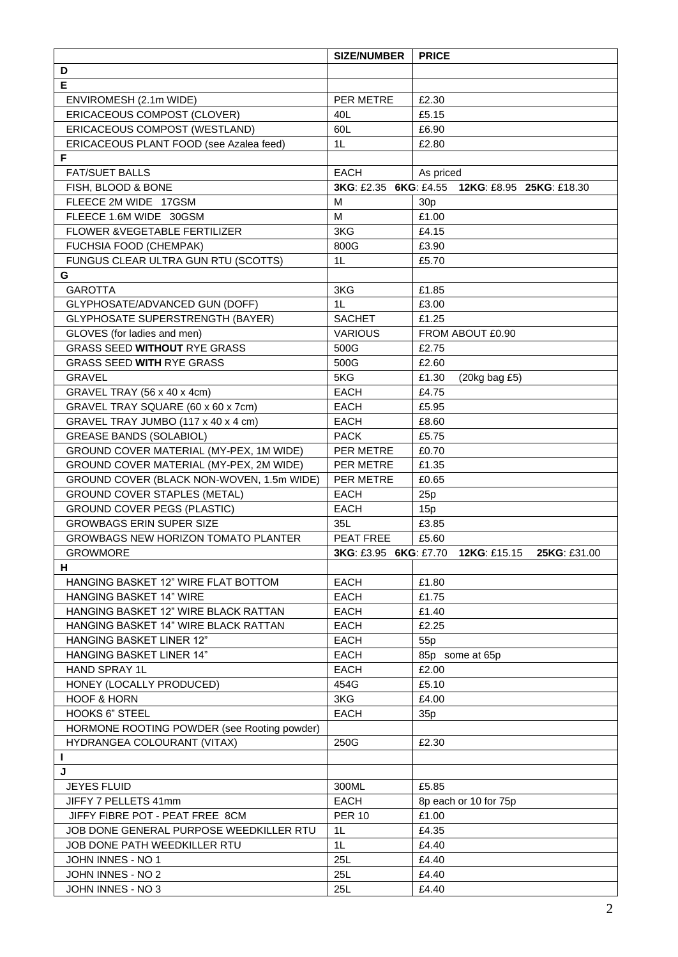|                                             | <b>SIZE/NUMBER</b>    | <b>PRICE</b>                                   |  |  |  |  |
|---------------------------------------------|-----------------------|------------------------------------------------|--|--|--|--|
| D                                           |                       |                                                |  |  |  |  |
| E                                           |                       |                                                |  |  |  |  |
| ENVIROMESH (2.1m WIDE)                      | PER METRE             | £2.30                                          |  |  |  |  |
| ERICACEOUS COMPOST (CLOVER)                 | 40L                   | £5.15                                          |  |  |  |  |
| ERICACEOUS COMPOST (WESTLAND)               | 60L                   | £6.90                                          |  |  |  |  |
| ERICACEOUS PLANT FOOD (see Azalea feed)     | 1 <sub>L</sub>        | £2.80                                          |  |  |  |  |
| F                                           |                       |                                                |  |  |  |  |
| <b>FAT/SUET BALLS</b>                       | <b>EACH</b>           | As priced                                      |  |  |  |  |
| FISH, BLOOD & BONE                          |                       | 3KG: £2.35 6KG: £4.55 12KG: £8.95 25KG: £18.30 |  |  |  |  |
| FLEECE 2M WIDE 17GSM                        | M                     | 30 <sub>p</sub>                                |  |  |  |  |
| FLEECE 1.6M WIDE 30GSM                      | M                     | £1.00                                          |  |  |  |  |
| FLOWER & VEGETABLE FERTILIZER               | 3KG                   | £4.15                                          |  |  |  |  |
| FUCHSIA FOOD (CHEMPAK)                      | 800G                  | £3.90                                          |  |  |  |  |
| FUNGUS CLEAR ULTRA GUN RTU (SCOTTS)         | 1L                    | £5.70                                          |  |  |  |  |
| G                                           |                       |                                                |  |  |  |  |
| <b>GAROTTA</b>                              | 3KG                   | £1.85                                          |  |  |  |  |
| GLYPHOSATE/ADVANCED GUN (DOFF)              | 1 <sub>L</sub>        | £3.00                                          |  |  |  |  |
| <b>GLYPHOSATE SUPERSTRENGTH (BAYER)</b>     | <b>SACHET</b>         | £1.25                                          |  |  |  |  |
| GLOVES (for ladies and men)                 | <b>VARIOUS</b>        | FROM ABOUT £0.90                               |  |  |  |  |
| <b>GRASS SEED WITHOUT RYE GRASS</b>         | 500G                  | £2.75                                          |  |  |  |  |
| <b>GRASS SEED WITH RYE GRASS</b>            | 500G                  | £2.60                                          |  |  |  |  |
| <b>GRAVEL</b>                               | 5KG                   | £1.30<br>$(20kg$ bag £5)                       |  |  |  |  |
| GRAVEL TRAY (56 x 40 x 4cm)                 | <b>EACH</b>           | £4.75                                          |  |  |  |  |
| GRAVEL TRAY SQUARE (60 x 60 x 7cm)          | <b>EACH</b>           | £5.95                                          |  |  |  |  |
| GRAVEL TRAY JUMBO (117 x 40 x 4 cm)         | <b>EACH</b>           | £8.60                                          |  |  |  |  |
| <b>GREASE BANDS (SOLABIOL)</b>              | <b>PACK</b>           | £5.75                                          |  |  |  |  |
| GROUND COVER MATERIAL (MY-PEX, 1M WIDE)     | PER METRE             | £0.70                                          |  |  |  |  |
| GROUND COVER MATERIAL (MY-PEX, 2M WIDE)     | PER METRE             | £1.35                                          |  |  |  |  |
| GROUND COVER (BLACK NON-WOVEN, 1.5m WIDE)   | PER METRE             | £0.65                                          |  |  |  |  |
| <b>GROUND COVER STAPLES (METAL)</b>         | <b>EACH</b>           | 25p                                            |  |  |  |  |
| <b>GROUND COVER PEGS (PLASTIC)</b>          | <b>EACH</b>           | 15p                                            |  |  |  |  |
| <b>GROWBAGS ERIN SUPER SIZE</b>             | 35L                   | £3.85                                          |  |  |  |  |
| <b>GROWBAGS NEW HORIZON TOMATO PLANTER</b>  | PEAT FREE             | £5.60                                          |  |  |  |  |
| <b>GROWMORE</b>                             | 3KG: £3.95 6KG: £7.70 | 12KG: £15.15<br>25KG: £31.00                   |  |  |  |  |
| н                                           |                       |                                                |  |  |  |  |
| HANGING BASKET 12" WIRE FLAT BOTTOM         | <b>EACH</b>           | £1.80                                          |  |  |  |  |
| <b>HANGING BASKET 14" WIRE</b>              | <b>EACH</b>           | £1.75                                          |  |  |  |  |
| HANGING BASKET 12" WIRE BLACK RATTAN        | <b>EACH</b>           | £1.40                                          |  |  |  |  |
| HANGING BASKET 14" WIRE BLACK RATTAN        | <b>EACH</b>           | £2.25                                          |  |  |  |  |
| <b>HANGING BASKET LINER 12"</b>             | <b>EACH</b>           | 55p                                            |  |  |  |  |
| <b>HANGING BASKET LINER 14"</b>             | <b>EACH</b>           | 85p some at 65p                                |  |  |  |  |
| <b>HAND SPRAY 1L</b>                        | <b>EACH</b>           | £2.00                                          |  |  |  |  |
| HONEY (LOCALLY PRODUCED)                    | 454G                  | £5.10                                          |  |  |  |  |
| <b>HOOF &amp; HORN</b>                      | 3KG                   | £4.00                                          |  |  |  |  |
| <b>HOOKS 6" STEEL</b>                       | EACH                  | 35p                                            |  |  |  |  |
| HORMONE ROOTING POWDER (see Rooting powder) |                       |                                                |  |  |  |  |
| HYDRANGEA COLOURANT (VITAX)                 | 250G                  | £2.30                                          |  |  |  |  |
| п                                           |                       |                                                |  |  |  |  |
| J                                           |                       |                                                |  |  |  |  |
| <b>JEYES FLUID</b>                          | 300ML                 | £5.85                                          |  |  |  |  |
| JIFFY 7 PELLETS 41mm                        | EACH                  | 8p each or 10 for 75p                          |  |  |  |  |
| JIFFY FIBRE POT - PEAT FREE 8CM             | <b>PER 10</b>         | £1.00                                          |  |  |  |  |
| JOB DONE GENERAL PURPOSE WEEDKILLER RTU     | 1 <sub>L</sub>        | £4.35                                          |  |  |  |  |
| JOB DONE PATH WEEDKILLER RTU                | 1L                    | £4.40                                          |  |  |  |  |
| JOHN INNES - NO 1                           | 25L                   | £4.40                                          |  |  |  |  |
| JOHN INNES - NO 2                           | 25L                   | £4.40                                          |  |  |  |  |
| JOHN INNES - NO 3                           | 25L                   | £4.40                                          |  |  |  |  |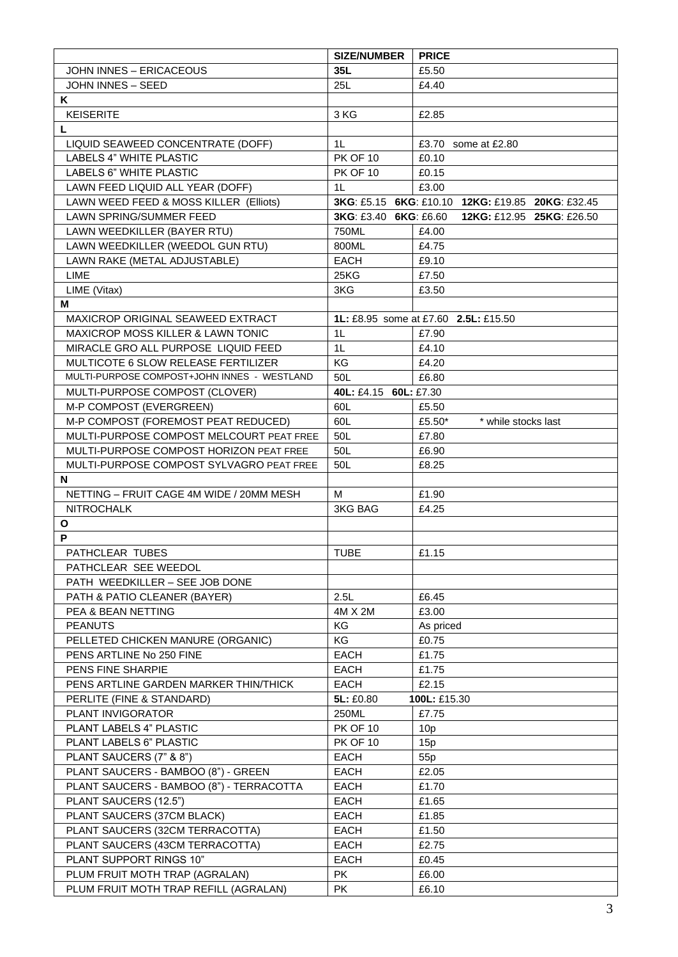|                                             | <b>SIZE/NUMBER</b>    | <b>PRICE</b>                                     |  |  |  |  |
|---------------------------------------------|-----------------------|--------------------------------------------------|--|--|--|--|
| JOHN INNES - ERICACEOUS                     | 35L                   | £5.50                                            |  |  |  |  |
| <b>JOHN INNES - SEED</b>                    | 25L                   | £4.40                                            |  |  |  |  |
| Κ                                           |                       |                                                  |  |  |  |  |
| <b>KEISERITE</b>                            | 3 KG                  | £2.85                                            |  |  |  |  |
| L                                           |                       |                                                  |  |  |  |  |
| LIQUID SEAWEED CONCENTRATE (DOFF)           | 1L                    | £3.70 some at £2.80                              |  |  |  |  |
| LABELS 4" WHITE PLASTIC                     | <b>PK OF 10</b>       | £0.10                                            |  |  |  |  |
| LABELS 6" WHITE PLASTIC                     | <b>PK OF 10</b>       | £0.15                                            |  |  |  |  |
| LAWN FEED LIQUID ALL YEAR (DOFF)            | 1 <sup>L</sup>        | £3.00                                            |  |  |  |  |
| LAWN WEED FEED & MOSS KILLER (Elliots)      |                       | 3KG: £5.15 6KG: £10.10 12KG: £19.85 20KG: £32.45 |  |  |  |  |
| LAWN SPRING/SUMMER FEED                     | 3KG: £3.40 6KG: £6.60 | 12KG: £12.95 25KG: £26.50                        |  |  |  |  |
| LAWN WEEDKILLER (BAYER RTU)                 | 750ML                 | £4.00                                            |  |  |  |  |
| LAWN WEEDKILLER (WEEDOL GUN RTU)            | 800ML                 | £4.75                                            |  |  |  |  |
| LAWN RAKE (METAL ADJUSTABLE)                | <b>EACH</b>           | £9.10                                            |  |  |  |  |
| <b>LIME</b>                                 | 25KG                  | £7.50                                            |  |  |  |  |
| LIME (Vitax)                                | 3KG                   | £3.50                                            |  |  |  |  |
| М                                           |                       |                                                  |  |  |  |  |
| MAXICROP ORIGINAL SEAWEED EXTRACT           |                       | 1L: £8.95 some at £7.60 2.5L: £15.50             |  |  |  |  |
| MAXICROP MOSS KILLER & LAWN TONIC           | 1 <sub>L</sub>        | £7.90                                            |  |  |  |  |
| MIRACLE GRO ALL PURPOSE LIQUID FEED         | 1L                    | £4.10                                            |  |  |  |  |
| MULTICOTE 6 SLOW RELEASE FERTILIZER         | KG                    | £4.20                                            |  |  |  |  |
| MULTI-PURPOSE COMPOST+JOHN INNES - WESTLAND | 50L                   | £6.80                                            |  |  |  |  |
| MULTI-PURPOSE COMPOST (CLOVER)              | 40L: £4.15 60L: £7.30 |                                                  |  |  |  |  |
| M-P COMPOST (EVERGREEN)                     | 60L                   | £5.50                                            |  |  |  |  |
| M-P COMPOST (FOREMOST PEAT REDUCED)         | 60L                   | £5.50*<br>* while stocks last                    |  |  |  |  |
| MULTI-PURPOSE COMPOST MELCOURT PEAT FREE    | 50L                   | £7.80                                            |  |  |  |  |
| MULTI-PURPOSE COMPOST HORIZON PEAT FREE     | 50L                   | £6.90                                            |  |  |  |  |
| MULTI-PURPOSE COMPOST SYLVAGRO PEAT FREE    | 50L                   | £8.25                                            |  |  |  |  |
| N                                           |                       |                                                  |  |  |  |  |
| NETTING - FRUIT CAGE 4M WIDE / 20MM MESH    | м                     | £1.90                                            |  |  |  |  |
| <b>NITROCHALK</b>                           | <b>3KG BAG</b>        | £4.25                                            |  |  |  |  |
| O                                           |                       |                                                  |  |  |  |  |
| P                                           |                       |                                                  |  |  |  |  |
| <b>PATHCLEAR TUBES</b>                      | <b>TUBE</b>           | £1.15                                            |  |  |  |  |
| PATHCLEAR SEE WEEDOL                        |                       |                                                  |  |  |  |  |
| PATH WEEDKILLER - SEE JOB DONE              |                       |                                                  |  |  |  |  |
| PATH & PATIO CLEANER (BAYER)                | 2.5L                  | £6.45                                            |  |  |  |  |
| PEA & BEAN NETTING                          | 4M X 2M               | £3.00                                            |  |  |  |  |
| <b>PEANUTS</b>                              | KG                    | As priced                                        |  |  |  |  |
| PELLETED CHICKEN MANURE (ORGANIC)           | KG                    | £0.75                                            |  |  |  |  |
| PENS ARTLINE No 250 FINE                    | <b>EACH</b>           | £1.75                                            |  |  |  |  |
| PENS FINE SHARPIE                           | <b>EACH</b>           | £1.75                                            |  |  |  |  |
| PENS ARTLINE GARDEN MARKER THIN/THICK       | <b>EACH</b>           | £2.15                                            |  |  |  |  |
| PERLITE (FINE & STANDARD)                   | 5L: £0.80             | 100L: £15.30                                     |  |  |  |  |
| PLANT INVIGORATOR                           | 250ML                 | £7.75                                            |  |  |  |  |
| PLANT LABELS 4" PLASTIC                     | <b>PK OF 10</b>       | 10 <sub>p</sub>                                  |  |  |  |  |
| PLANT LABELS 6" PLASTIC                     | <b>PK OF 10</b>       | 15p                                              |  |  |  |  |
| PLANT SAUCERS (7" & 8")                     | <b>EACH</b>           | 55 <sub>p</sub>                                  |  |  |  |  |
| PLANT SAUCERS - BAMBOO (8") - GREEN         | <b>EACH</b>           | £2.05                                            |  |  |  |  |
| PLANT SAUCERS - BAMBOO (8") - TERRACOTTA    | <b>EACH</b>           | £1.70                                            |  |  |  |  |
| PLANT SAUCERS (12.5")                       | EACH                  | £1.65                                            |  |  |  |  |
| PLANT SAUCERS (37CM BLACK)                  | EACH                  | £1.85                                            |  |  |  |  |
| PLANT SAUCERS (32CM TERRACOTTA)             | <b>EACH</b>           | £1.50                                            |  |  |  |  |
| PLANT SAUCERS (43CM TERRACOTTA)             | <b>EACH</b>           | £2.75                                            |  |  |  |  |
| PLANT SUPPORT RINGS 10"                     | <b>EACH</b>           | £0.45                                            |  |  |  |  |
| PLUM FRUIT MOTH TRAP (AGRALAN)              | PK.                   | £6.00                                            |  |  |  |  |
| PLUM FRUIT MOTH TRAP REFILL (AGRALAN)       | <b>PK</b>             | £6.10                                            |  |  |  |  |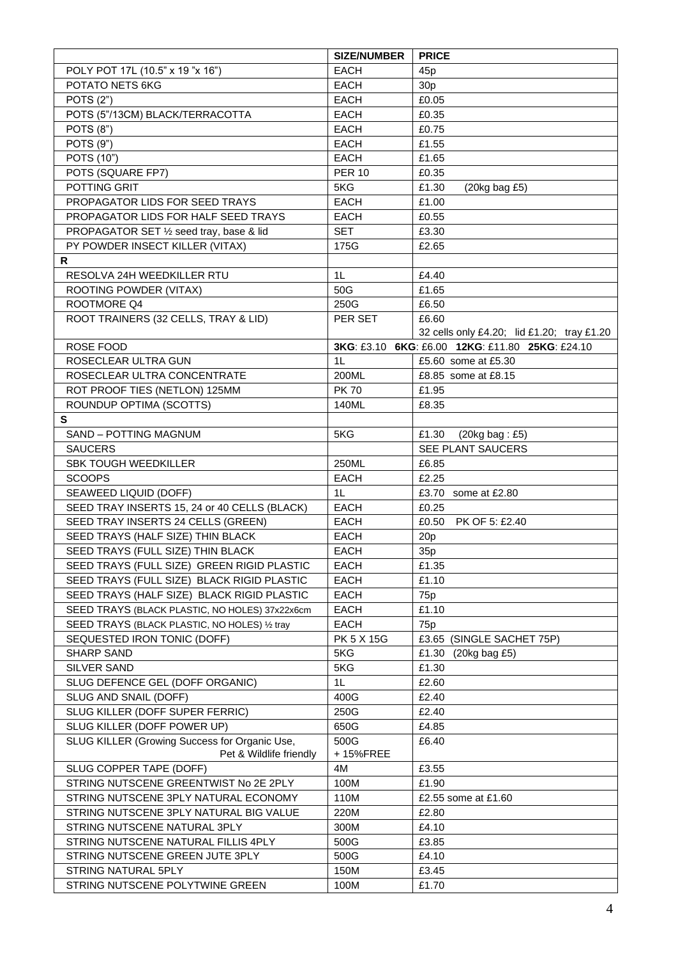| POLY POT 17L (10.5" x 19 "x 16")<br><b>EACH</b><br>45 <sub>p</sub><br>POTATO NETS 6KG<br>EACH<br>30 <sub>p</sub><br><b>POTS (2")</b><br>£0.05<br><b>EACH</b><br>POTS (5"/13CM) BLACK/TERRACOTTA<br><b>EACH</b><br>£0.35<br><b>POTS (8")</b><br><b>EACH</b><br>£0.75<br>POTS (9")<br>£1.55<br><b>EACH</b><br>POTS (10")<br><b>EACH</b><br>£1.65<br>POTS (SQUARE FP7)<br><b>PER 10</b><br>£0.35<br>POTTING GRIT<br>5KG<br>£1.30<br>$(20kg$ bag £5)<br>PROPAGATOR LIDS FOR SEED TRAYS<br><b>EACH</b><br>£1.00<br>PROPAGATOR LIDS FOR HALF SEED TRAYS<br><b>EACH</b><br>£0.55<br>PROPAGATOR SET 1/2 seed tray, base & lid<br><b>SET</b><br>£3.30<br>PY POWDER INSECT KILLER (VITAX)<br>£2.65<br>175G<br>R<br>1L<br>RESOLVA 24H WEEDKILLER RTU<br>£4.40<br>ROOTING POWDER (VITAX)<br>50G<br>£1.65<br>ROOTMORE Q4<br>250G<br>£6.50<br>ROOT TRAINERS (32 CELLS, TRAY & LID)<br>PER SET<br>£6.60<br>32 cells only £4.20; lid £1.20; tray £1.20<br>ROSE FOOD<br>3KG: £3.10 6KG: £6.00 12KG: £11.80 25KG: £24.10<br>1 <sub>L</sub><br>£5.60 some at £5.30<br>ROSECLEAR ULTRA GUN<br>ROSECLEAR ULTRA CONCENTRATE<br>200ML<br>£8.85 some at £8.15<br>ROT PROOF TIES (NETLON) 125MM<br><b>PK70</b><br>£1.95<br>ROUNDUP OPTIMA (SCOTTS)<br>140ML<br>£8.35<br>S<br>SAND - POTTING MAGNUM<br>5KG<br>£1.30<br>$(20kg$ bag: £5)<br><b>SAUCERS</b><br>SEE PLANT SAUCERS<br><b>SBK TOUGH WEEDKILLER</b><br>250ML<br>£6.85<br><b>SCOOPS</b><br><b>EACH</b><br>£2.25<br>SEAWEED LIQUID (DOFF)<br>1 <sub>L</sub><br>£3.70 some at £2.80<br>SEED TRAY INSERTS 15, 24 or 40 CELLS (BLACK)<br><b>EACH</b><br>£0.25<br>SEED TRAY INSERTS 24 CELLS (GREEN)<br>EACH<br>£0.50<br>PK OF 5: £2.40<br>SEED TRAYS (HALF SIZE) THIN BLACK<br>EACH<br>20p<br>SEED TRAYS (FULL SIZE) THIN BLACK<br><b>EACH</b><br>35p<br>SEED TRAYS (FULL SIZE) GREEN RIGID PLASTIC<br><b>EACH</b><br>£1.35<br><b>EACH</b><br>£1.10<br>SEED TRAYS (FULL SIZE) BLACK RIGID PLASTIC<br>SEED TRAYS (HALF SIZE) BLACK RIGID PLASTIC<br><b>EACH</b><br>75 <sub>p</sub><br><b>EACH</b><br>£1.10<br>SEED TRAYS (BLACK PLASTIC, NO HOLES) 37x22x6cm<br><b>EACH</b><br>SEED TRAYS (BLACK PLASTIC, NO HOLES) 1/2 tray<br>75p<br>PK 5 X 15G<br>SEQUESTED IRON TONIC (DOFF)<br>£3.65 (SINGLE SACHET 75P)<br>5KG<br>SHARP SAND<br>£1.30 (20kg bag £5)<br>£1.30<br>5KG<br><b>SILVER SAND</b><br>1L<br>SLUG DEFENCE GEL (DOFF ORGANIC)<br>£2.60<br>SLUG AND SNAIL (DOFF)<br>£2.40<br>400G<br>SLUG KILLER (DOFF SUPER FERRIC)<br>250G<br>£2.40<br>SLUG KILLER (DOFF POWER UP)<br>650G<br>£4.85<br>SLUG KILLER (Growing Success for Organic Use,<br>500G<br>£6.40<br>Pet & Wildlife friendly<br>+15%FREE<br>SLUG COPPER TAPE (DOFF)<br>£3.55<br>4M<br>STRING NUTSCENE GREENTWIST No 2E 2PLY<br>100M<br>£1.90<br>STRING NUTSCENE 3PLY NATURAL ECONOMY<br>110M<br>£2.55 some at £1.60<br>STRING NUTSCENE 3PLY NATURAL BIG VALUE<br>220M<br>£2.80<br>STRING NUTSCENE NATURAL 3PLY<br>£4.10<br>300M<br>STRING NUTSCENE NATURAL FILLIS 4PLY<br>500G<br>£3.85<br>STRING NUTSCENE GREEN JUTE 3PLY<br>500G<br>£4.10<br>£3.45<br>STRING NATURAL 5PLY<br>150M<br>STRING NUTSCENE POLYTWINE GREEN<br>100M<br>£1.70 | <b>SIZE/NUMBER</b> | <b>PRICE</b> |
|-----------------------------------------------------------------------------------------------------------------------------------------------------------------------------------------------------------------------------------------------------------------------------------------------------------------------------------------------------------------------------------------------------------------------------------------------------------------------------------------------------------------------------------------------------------------------------------------------------------------------------------------------------------------------------------------------------------------------------------------------------------------------------------------------------------------------------------------------------------------------------------------------------------------------------------------------------------------------------------------------------------------------------------------------------------------------------------------------------------------------------------------------------------------------------------------------------------------------------------------------------------------------------------------------------------------------------------------------------------------------------------------------------------------------------------------------------------------------------------------------------------------------------------------------------------------------------------------------------------------------------------------------------------------------------------------------------------------------------------------------------------------------------------------------------------------------------------------------------------------------------------------------------------------------------------------------------------------------------------------------------------------------------------------------------------------------------------------------------------------------------------------------------------------------------------------------------------------------------------------------------------------------------------------------------------------------------------------------------------------------------------------------------------------------------------------------------------------------------------------------------------------------------------------------------------------------------------------------------------------------------------------------------------------------------------------------------------------------------------------------------------------------------------------------------------------------------------------------------------------------------------------------------------------------------------------------------------------------------------------------------------------------------------------------------------------------------------------------------------------------------------|--------------------|--------------|
|                                                                                                                                                                                                                                                                                                                                                                                                                                                                                                                                                                                                                                                                                                                                                                                                                                                                                                                                                                                                                                                                                                                                                                                                                                                                                                                                                                                                                                                                                                                                                                                                                                                                                                                                                                                                                                                                                                                                                                                                                                                                                                                                                                                                                                                                                                                                                                                                                                                                                                                                                                                                                                                                                                                                                                                                                                                                                                                                                                                                                                                                                                                                   |                    |              |
|                                                                                                                                                                                                                                                                                                                                                                                                                                                                                                                                                                                                                                                                                                                                                                                                                                                                                                                                                                                                                                                                                                                                                                                                                                                                                                                                                                                                                                                                                                                                                                                                                                                                                                                                                                                                                                                                                                                                                                                                                                                                                                                                                                                                                                                                                                                                                                                                                                                                                                                                                                                                                                                                                                                                                                                                                                                                                                                                                                                                                                                                                                                                   |                    |              |
|                                                                                                                                                                                                                                                                                                                                                                                                                                                                                                                                                                                                                                                                                                                                                                                                                                                                                                                                                                                                                                                                                                                                                                                                                                                                                                                                                                                                                                                                                                                                                                                                                                                                                                                                                                                                                                                                                                                                                                                                                                                                                                                                                                                                                                                                                                                                                                                                                                                                                                                                                                                                                                                                                                                                                                                                                                                                                                                                                                                                                                                                                                                                   |                    |              |
|                                                                                                                                                                                                                                                                                                                                                                                                                                                                                                                                                                                                                                                                                                                                                                                                                                                                                                                                                                                                                                                                                                                                                                                                                                                                                                                                                                                                                                                                                                                                                                                                                                                                                                                                                                                                                                                                                                                                                                                                                                                                                                                                                                                                                                                                                                                                                                                                                                                                                                                                                                                                                                                                                                                                                                                                                                                                                                                                                                                                                                                                                                                                   |                    |              |
|                                                                                                                                                                                                                                                                                                                                                                                                                                                                                                                                                                                                                                                                                                                                                                                                                                                                                                                                                                                                                                                                                                                                                                                                                                                                                                                                                                                                                                                                                                                                                                                                                                                                                                                                                                                                                                                                                                                                                                                                                                                                                                                                                                                                                                                                                                                                                                                                                                                                                                                                                                                                                                                                                                                                                                                                                                                                                                                                                                                                                                                                                                                                   |                    |              |
|                                                                                                                                                                                                                                                                                                                                                                                                                                                                                                                                                                                                                                                                                                                                                                                                                                                                                                                                                                                                                                                                                                                                                                                                                                                                                                                                                                                                                                                                                                                                                                                                                                                                                                                                                                                                                                                                                                                                                                                                                                                                                                                                                                                                                                                                                                                                                                                                                                                                                                                                                                                                                                                                                                                                                                                                                                                                                                                                                                                                                                                                                                                                   |                    |              |
|                                                                                                                                                                                                                                                                                                                                                                                                                                                                                                                                                                                                                                                                                                                                                                                                                                                                                                                                                                                                                                                                                                                                                                                                                                                                                                                                                                                                                                                                                                                                                                                                                                                                                                                                                                                                                                                                                                                                                                                                                                                                                                                                                                                                                                                                                                                                                                                                                                                                                                                                                                                                                                                                                                                                                                                                                                                                                                                                                                                                                                                                                                                                   |                    |              |
|                                                                                                                                                                                                                                                                                                                                                                                                                                                                                                                                                                                                                                                                                                                                                                                                                                                                                                                                                                                                                                                                                                                                                                                                                                                                                                                                                                                                                                                                                                                                                                                                                                                                                                                                                                                                                                                                                                                                                                                                                                                                                                                                                                                                                                                                                                                                                                                                                                                                                                                                                                                                                                                                                                                                                                                                                                                                                                                                                                                                                                                                                                                                   |                    |              |
|                                                                                                                                                                                                                                                                                                                                                                                                                                                                                                                                                                                                                                                                                                                                                                                                                                                                                                                                                                                                                                                                                                                                                                                                                                                                                                                                                                                                                                                                                                                                                                                                                                                                                                                                                                                                                                                                                                                                                                                                                                                                                                                                                                                                                                                                                                                                                                                                                                                                                                                                                                                                                                                                                                                                                                                                                                                                                                                                                                                                                                                                                                                                   |                    |              |
|                                                                                                                                                                                                                                                                                                                                                                                                                                                                                                                                                                                                                                                                                                                                                                                                                                                                                                                                                                                                                                                                                                                                                                                                                                                                                                                                                                                                                                                                                                                                                                                                                                                                                                                                                                                                                                                                                                                                                                                                                                                                                                                                                                                                                                                                                                                                                                                                                                                                                                                                                                                                                                                                                                                                                                                                                                                                                                                                                                                                                                                                                                                                   |                    |              |
|                                                                                                                                                                                                                                                                                                                                                                                                                                                                                                                                                                                                                                                                                                                                                                                                                                                                                                                                                                                                                                                                                                                                                                                                                                                                                                                                                                                                                                                                                                                                                                                                                                                                                                                                                                                                                                                                                                                                                                                                                                                                                                                                                                                                                                                                                                                                                                                                                                                                                                                                                                                                                                                                                                                                                                                                                                                                                                                                                                                                                                                                                                                                   |                    |              |
|                                                                                                                                                                                                                                                                                                                                                                                                                                                                                                                                                                                                                                                                                                                                                                                                                                                                                                                                                                                                                                                                                                                                                                                                                                                                                                                                                                                                                                                                                                                                                                                                                                                                                                                                                                                                                                                                                                                                                                                                                                                                                                                                                                                                                                                                                                                                                                                                                                                                                                                                                                                                                                                                                                                                                                                                                                                                                                                                                                                                                                                                                                                                   |                    |              |
|                                                                                                                                                                                                                                                                                                                                                                                                                                                                                                                                                                                                                                                                                                                                                                                                                                                                                                                                                                                                                                                                                                                                                                                                                                                                                                                                                                                                                                                                                                                                                                                                                                                                                                                                                                                                                                                                                                                                                                                                                                                                                                                                                                                                                                                                                                                                                                                                                                                                                                                                                                                                                                                                                                                                                                                                                                                                                                                                                                                                                                                                                                                                   |                    |              |
|                                                                                                                                                                                                                                                                                                                                                                                                                                                                                                                                                                                                                                                                                                                                                                                                                                                                                                                                                                                                                                                                                                                                                                                                                                                                                                                                                                                                                                                                                                                                                                                                                                                                                                                                                                                                                                                                                                                                                                                                                                                                                                                                                                                                                                                                                                                                                                                                                                                                                                                                                                                                                                                                                                                                                                                                                                                                                                                                                                                                                                                                                                                                   |                    |              |
|                                                                                                                                                                                                                                                                                                                                                                                                                                                                                                                                                                                                                                                                                                                                                                                                                                                                                                                                                                                                                                                                                                                                                                                                                                                                                                                                                                                                                                                                                                                                                                                                                                                                                                                                                                                                                                                                                                                                                                                                                                                                                                                                                                                                                                                                                                                                                                                                                                                                                                                                                                                                                                                                                                                                                                                                                                                                                                                                                                                                                                                                                                                                   |                    |              |
|                                                                                                                                                                                                                                                                                                                                                                                                                                                                                                                                                                                                                                                                                                                                                                                                                                                                                                                                                                                                                                                                                                                                                                                                                                                                                                                                                                                                                                                                                                                                                                                                                                                                                                                                                                                                                                                                                                                                                                                                                                                                                                                                                                                                                                                                                                                                                                                                                                                                                                                                                                                                                                                                                                                                                                                                                                                                                                                                                                                                                                                                                                                                   |                    |              |
|                                                                                                                                                                                                                                                                                                                                                                                                                                                                                                                                                                                                                                                                                                                                                                                                                                                                                                                                                                                                                                                                                                                                                                                                                                                                                                                                                                                                                                                                                                                                                                                                                                                                                                                                                                                                                                                                                                                                                                                                                                                                                                                                                                                                                                                                                                                                                                                                                                                                                                                                                                                                                                                                                                                                                                                                                                                                                                                                                                                                                                                                                                                                   |                    |              |
|                                                                                                                                                                                                                                                                                                                                                                                                                                                                                                                                                                                                                                                                                                                                                                                                                                                                                                                                                                                                                                                                                                                                                                                                                                                                                                                                                                                                                                                                                                                                                                                                                                                                                                                                                                                                                                                                                                                                                                                                                                                                                                                                                                                                                                                                                                                                                                                                                                                                                                                                                                                                                                                                                                                                                                                                                                                                                                                                                                                                                                                                                                                                   |                    |              |
|                                                                                                                                                                                                                                                                                                                                                                                                                                                                                                                                                                                                                                                                                                                                                                                                                                                                                                                                                                                                                                                                                                                                                                                                                                                                                                                                                                                                                                                                                                                                                                                                                                                                                                                                                                                                                                                                                                                                                                                                                                                                                                                                                                                                                                                                                                                                                                                                                                                                                                                                                                                                                                                                                                                                                                                                                                                                                                                                                                                                                                                                                                                                   |                    |              |
|                                                                                                                                                                                                                                                                                                                                                                                                                                                                                                                                                                                                                                                                                                                                                                                                                                                                                                                                                                                                                                                                                                                                                                                                                                                                                                                                                                                                                                                                                                                                                                                                                                                                                                                                                                                                                                                                                                                                                                                                                                                                                                                                                                                                                                                                                                                                                                                                                                                                                                                                                                                                                                                                                                                                                                                                                                                                                                                                                                                                                                                                                                                                   |                    |              |
|                                                                                                                                                                                                                                                                                                                                                                                                                                                                                                                                                                                                                                                                                                                                                                                                                                                                                                                                                                                                                                                                                                                                                                                                                                                                                                                                                                                                                                                                                                                                                                                                                                                                                                                                                                                                                                                                                                                                                                                                                                                                                                                                                                                                                                                                                                                                                                                                                                                                                                                                                                                                                                                                                                                                                                                                                                                                                                                                                                                                                                                                                                                                   |                    |              |
|                                                                                                                                                                                                                                                                                                                                                                                                                                                                                                                                                                                                                                                                                                                                                                                                                                                                                                                                                                                                                                                                                                                                                                                                                                                                                                                                                                                                                                                                                                                                                                                                                                                                                                                                                                                                                                                                                                                                                                                                                                                                                                                                                                                                                                                                                                                                                                                                                                                                                                                                                                                                                                                                                                                                                                                                                                                                                                                                                                                                                                                                                                                                   |                    |              |
|                                                                                                                                                                                                                                                                                                                                                                                                                                                                                                                                                                                                                                                                                                                                                                                                                                                                                                                                                                                                                                                                                                                                                                                                                                                                                                                                                                                                                                                                                                                                                                                                                                                                                                                                                                                                                                                                                                                                                                                                                                                                                                                                                                                                                                                                                                                                                                                                                                                                                                                                                                                                                                                                                                                                                                                                                                                                                                                                                                                                                                                                                                                                   |                    |              |
|                                                                                                                                                                                                                                                                                                                                                                                                                                                                                                                                                                                                                                                                                                                                                                                                                                                                                                                                                                                                                                                                                                                                                                                                                                                                                                                                                                                                                                                                                                                                                                                                                                                                                                                                                                                                                                                                                                                                                                                                                                                                                                                                                                                                                                                                                                                                                                                                                                                                                                                                                                                                                                                                                                                                                                                                                                                                                                                                                                                                                                                                                                                                   |                    |              |
|                                                                                                                                                                                                                                                                                                                                                                                                                                                                                                                                                                                                                                                                                                                                                                                                                                                                                                                                                                                                                                                                                                                                                                                                                                                                                                                                                                                                                                                                                                                                                                                                                                                                                                                                                                                                                                                                                                                                                                                                                                                                                                                                                                                                                                                                                                                                                                                                                                                                                                                                                                                                                                                                                                                                                                                                                                                                                                                                                                                                                                                                                                                                   |                    |              |
|                                                                                                                                                                                                                                                                                                                                                                                                                                                                                                                                                                                                                                                                                                                                                                                                                                                                                                                                                                                                                                                                                                                                                                                                                                                                                                                                                                                                                                                                                                                                                                                                                                                                                                                                                                                                                                                                                                                                                                                                                                                                                                                                                                                                                                                                                                                                                                                                                                                                                                                                                                                                                                                                                                                                                                                                                                                                                                                                                                                                                                                                                                                                   |                    |              |
|                                                                                                                                                                                                                                                                                                                                                                                                                                                                                                                                                                                                                                                                                                                                                                                                                                                                                                                                                                                                                                                                                                                                                                                                                                                                                                                                                                                                                                                                                                                                                                                                                                                                                                                                                                                                                                                                                                                                                                                                                                                                                                                                                                                                                                                                                                                                                                                                                                                                                                                                                                                                                                                                                                                                                                                                                                                                                                                                                                                                                                                                                                                                   |                    |              |
|                                                                                                                                                                                                                                                                                                                                                                                                                                                                                                                                                                                                                                                                                                                                                                                                                                                                                                                                                                                                                                                                                                                                                                                                                                                                                                                                                                                                                                                                                                                                                                                                                                                                                                                                                                                                                                                                                                                                                                                                                                                                                                                                                                                                                                                                                                                                                                                                                                                                                                                                                                                                                                                                                                                                                                                                                                                                                                                                                                                                                                                                                                                                   |                    |              |
|                                                                                                                                                                                                                                                                                                                                                                                                                                                                                                                                                                                                                                                                                                                                                                                                                                                                                                                                                                                                                                                                                                                                                                                                                                                                                                                                                                                                                                                                                                                                                                                                                                                                                                                                                                                                                                                                                                                                                                                                                                                                                                                                                                                                                                                                                                                                                                                                                                                                                                                                                                                                                                                                                                                                                                                                                                                                                                                                                                                                                                                                                                                                   |                    |              |
|                                                                                                                                                                                                                                                                                                                                                                                                                                                                                                                                                                                                                                                                                                                                                                                                                                                                                                                                                                                                                                                                                                                                                                                                                                                                                                                                                                                                                                                                                                                                                                                                                                                                                                                                                                                                                                                                                                                                                                                                                                                                                                                                                                                                                                                                                                                                                                                                                                                                                                                                                                                                                                                                                                                                                                                                                                                                                                                                                                                                                                                                                                                                   |                    |              |
|                                                                                                                                                                                                                                                                                                                                                                                                                                                                                                                                                                                                                                                                                                                                                                                                                                                                                                                                                                                                                                                                                                                                                                                                                                                                                                                                                                                                                                                                                                                                                                                                                                                                                                                                                                                                                                                                                                                                                                                                                                                                                                                                                                                                                                                                                                                                                                                                                                                                                                                                                                                                                                                                                                                                                                                                                                                                                                                                                                                                                                                                                                                                   |                    |              |
|                                                                                                                                                                                                                                                                                                                                                                                                                                                                                                                                                                                                                                                                                                                                                                                                                                                                                                                                                                                                                                                                                                                                                                                                                                                                                                                                                                                                                                                                                                                                                                                                                                                                                                                                                                                                                                                                                                                                                                                                                                                                                                                                                                                                                                                                                                                                                                                                                                                                                                                                                                                                                                                                                                                                                                                                                                                                                                                                                                                                                                                                                                                                   |                    |              |
|                                                                                                                                                                                                                                                                                                                                                                                                                                                                                                                                                                                                                                                                                                                                                                                                                                                                                                                                                                                                                                                                                                                                                                                                                                                                                                                                                                                                                                                                                                                                                                                                                                                                                                                                                                                                                                                                                                                                                                                                                                                                                                                                                                                                                                                                                                                                                                                                                                                                                                                                                                                                                                                                                                                                                                                                                                                                                                                                                                                                                                                                                                                                   |                    |              |
|                                                                                                                                                                                                                                                                                                                                                                                                                                                                                                                                                                                                                                                                                                                                                                                                                                                                                                                                                                                                                                                                                                                                                                                                                                                                                                                                                                                                                                                                                                                                                                                                                                                                                                                                                                                                                                                                                                                                                                                                                                                                                                                                                                                                                                                                                                                                                                                                                                                                                                                                                                                                                                                                                                                                                                                                                                                                                                                                                                                                                                                                                                                                   |                    |              |
|                                                                                                                                                                                                                                                                                                                                                                                                                                                                                                                                                                                                                                                                                                                                                                                                                                                                                                                                                                                                                                                                                                                                                                                                                                                                                                                                                                                                                                                                                                                                                                                                                                                                                                                                                                                                                                                                                                                                                                                                                                                                                                                                                                                                                                                                                                                                                                                                                                                                                                                                                                                                                                                                                                                                                                                                                                                                                                                                                                                                                                                                                                                                   |                    |              |
|                                                                                                                                                                                                                                                                                                                                                                                                                                                                                                                                                                                                                                                                                                                                                                                                                                                                                                                                                                                                                                                                                                                                                                                                                                                                                                                                                                                                                                                                                                                                                                                                                                                                                                                                                                                                                                                                                                                                                                                                                                                                                                                                                                                                                                                                                                                                                                                                                                                                                                                                                                                                                                                                                                                                                                                                                                                                                                                                                                                                                                                                                                                                   |                    |              |
|                                                                                                                                                                                                                                                                                                                                                                                                                                                                                                                                                                                                                                                                                                                                                                                                                                                                                                                                                                                                                                                                                                                                                                                                                                                                                                                                                                                                                                                                                                                                                                                                                                                                                                                                                                                                                                                                                                                                                                                                                                                                                                                                                                                                                                                                                                                                                                                                                                                                                                                                                                                                                                                                                                                                                                                                                                                                                                                                                                                                                                                                                                                                   |                    |              |
|                                                                                                                                                                                                                                                                                                                                                                                                                                                                                                                                                                                                                                                                                                                                                                                                                                                                                                                                                                                                                                                                                                                                                                                                                                                                                                                                                                                                                                                                                                                                                                                                                                                                                                                                                                                                                                                                                                                                                                                                                                                                                                                                                                                                                                                                                                                                                                                                                                                                                                                                                                                                                                                                                                                                                                                                                                                                                                                                                                                                                                                                                                                                   |                    |              |
|                                                                                                                                                                                                                                                                                                                                                                                                                                                                                                                                                                                                                                                                                                                                                                                                                                                                                                                                                                                                                                                                                                                                                                                                                                                                                                                                                                                                                                                                                                                                                                                                                                                                                                                                                                                                                                                                                                                                                                                                                                                                                                                                                                                                                                                                                                                                                                                                                                                                                                                                                                                                                                                                                                                                                                                                                                                                                                                                                                                                                                                                                                                                   |                    |              |
|                                                                                                                                                                                                                                                                                                                                                                                                                                                                                                                                                                                                                                                                                                                                                                                                                                                                                                                                                                                                                                                                                                                                                                                                                                                                                                                                                                                                                                                                                                                                                                                                                                                                                                                                                                                                                                                                                                                                                                                                                                                                                                                                                                                                                                                                                                                                                                                                                                                                                                                                                                                                                                                                                                                                                                                                                                                                                                                                                                                                                                                                                                                                   |                    |              |
|                                                                                                                                                                                                                                                                                                                                                                                                                                                                                                                                                                                                                                                                                                                                                                                                                                                                                                                                                                                                                                                                                                                                                                                                                                                                                                                                                                                                                                                                                                                                                                                                                                                                                                                                                                                                                                                                                                                                                                                                                                                                                                                                                                                                                                                                                                                                                                                                                                                                                                                                                                                                                                                                                                                                                                                                                                                                                                                                                                                                                                                                                                                                   |                    |              |
|                                                                                                                                                                                                                                                                                                                                                                                                                                                                                                                                                                                                                                                                                                                                                                                                                                                                                                                                                                                                                                                                                                                                                                                                                                                                                                                                                                                                                                                                                                                                                                                                                                                                                                                                                                                                                                                                                                                                                                                                                                                                                                                                                                                                                                                                                                                                                                                                                                                                                                                                                                                                                                                                                                                                                                                                                                                                                                                                                                                                                                                                                                                                   |                    |              |
|                                                                                                                                                                                                                                                                                                                                                                                                                                                                                                                                                                                                                                                                                                                                                                                                                                                                                                                                                                                                                                                                                                                                                                                                                                                                                                                                                                                                                                                                                                                                                                                                                                                                                                                                                                                                                                                                                                                                                                                                                                                                                                                                                                                                                                                                                                                                                                                                                                                                                                                                                                                                                                                                                                                                                                                                                                                                                                                                                                                                                                                                                                                                   |                    |              |
|                                                                                                                                                                                                                                                                                                                                                                                                                                                                                                                                                                                                                                                                                                                                                                                                                                                                                                                                                                                                                                                                                                                                                                                                                                                                                                                                                                                                                                                                                                                                                                                                                                                                                                                                                                                                                                                                                                                                                                                                                                                                                                                                                                                                                                                                                                                                                                                                                                                                                                                                                                                                                                                                                                                                                                                                                                                                                                                                                                                                                                                                                                                                   |                    |              |
|                                                                                                                                                                                                                                                                                                                                                                                                                                                                                                                                                                                                                                                                                                                                                                                                                                                                                                                                                                                                                                                                                                                                                                                                                                                                                                                                                                                                                                                                                                                                                                                                                                                                                                                                                                                                                                                                                                                                                                                                                                                                                                                                                                                                                                                                                                                                                                                                                                                                                                                                                                                                                                                                                                                                                                                                                                                                                                                                                                                                                                                                                                                                   |                    |              |
|                                                                                                                                                                                                                                                                                                                                                                                                                                                                                                                                                                                                                                                                                                                                                                                                                                                                                                                                                                                                                                                                                                                                                                                                                                                                                                                                                                                                                                                                                                                                                                                                                                                                                                                                                                                                                                                                                                                                                                                                                                                                                                                                                                                                                                                                                                                                                                                                                                                                                                                                                                                                                                                                                                                                                                                                                                                                                                                                                                                                                                                                                                                                   |                    |              |
|                                                                                                                                                                                                                                                                                                                                                                                                                                                                                                                                                                                                                                                                                                                                                                                                                                                                                                                                                                                                                                                                                                                                                                                                                                                                                                                                                                                                                                                                                                                                                                                                                                                                                                                                                                                                                                                                                                                                                                                                                                                                                                                                                                                                                                                                                                                                                                                                                                                                                                                                                                                                                                                                                                                                                                                                                                                                                                                                                                                                                                                                                                                                   |                    |              |
|                                                                                                                                                                                                                                                                                                                                                                                                                                                                                                                                                                                                                                                                                                                                                                                                                                                                                                                                                                                                                                                                                                                                                                                                                                                                                                                                                                                                                                                                                                                                                                                                                                                                                                                                                                                                                                                                                                                                                                                                                                                                                                                                                                                                                                                                                                                                                                                                                                                                                                                                                                                                                                                                                                                                                                                                                                                                                                                                                                                                                                                                                                                                   |                    |              |
|                                                                                                                                                                                                                                                                                                                                                                                                                                                                                                                                                                                                                                                                                                                                                                                                                                                                                                                                                                                                                                                                                                                                                                                                                                                                                                                                                                                                                                                                                                                                                                                                                                                                                                                                                                                                                                                                                                                                                                                                                                                                                                                                                                                                                                                                                                                                                                                                                                                                                                                                                                                                                                                                                                                                                                                                                                                                                                                                                                                                                                                                                                                                   |                    |              |
|                                                                                                                                                                                                                                                                                                                                                                                                                                                                                                                                                                                                                                                                                                                                                                                                                                                                                                                                                                                                                                                                                                                                                                                                                                                                                                                                                                                                                                                                                                                                                                                                                                                                                                                                                                                                                                                                                                                                                                                                                                                                                                                                                                                                                                                                                                                                                                                                                                                                                                                                                                                                                                                                                                                                                                                                                                                                                                                                                                                                                                                                                                                                   |                    |              |
|                                                                                                                                                                                                                                                                                                                                                                                                                                                                                                                                                                                                                                                                                                                                                                                                                                                                                                                                                                                                                                                                                                                                                                                                                                                                                                                                                                                                                                                                                                                                                                                                                                                                                                                                                                                                                                                                                                                                                                                                                                                                                                                                                                                                                                                                                                                                                                                                                                                                                                                                                                                                                                                                                                                                                                                                                                                                                                                                                                                                                                                                                                                                   |                    |              |
|                                                                                                                                                                                                                                                                                                                                                                                                                                                                                                                                                                                                                                                                                                                                                                                                                                                                                                                                                                                                                                                                                                                                                                                                                                                                                                                                                                                                                                                                                                                                                                                                                                                                                                                                                                                                                                                                                                                                                                                                                                                                                                                                                                                                                                                                                                                                                                                                                                                                                                                                                                                                                                                                                                                                                                                                                                                                                                                                                                                                                                                                                                                                   |                    |              |
|                                                                                                                                                                                                                                                                                                                                                                                                                                                                                                                                                                                                                                                                                                                                                                                                                                                                                                                                                                                                                                                                                                                                                                                                                                                                                                                                                                                                                                                                                                                                                                                                                                                                                                                                                                                                                                                                                                                                                                                                                                                                                                                                                                                                                                                                                                                                                                                                                                                                                                                                                                                                                                                                                                                                                                                                                                                                                                                                                                                                                                                                                                                                   |                    |              |
|                                                                                                                                                                                                                                                                                                                                                                                                                                                                                                                                                                                                                                                                                                                                                                                                                                                                                                                                                                                                                                                                                                                                                                                                                                                                                                                                                                                                                                                                                                                                                                                                                                                                                                                                                                                                                                                                                                                                                                                                                                                                                                                                                                                                                                                                                                                                                                                                                                                                                                                                                                                                                                                                                                                                                                                                                                                                                                                                                                                                                                                                                                                                   |                    |              |
|                                                                                                                                                                                                                                                                                                                                                                                                                                                                                                                                                                                                                                                                                                                                                                                                                                                                                                                                                                                                                                                                                                                                                                                                                                                                                                                                                                                                                                                                                                                                                                                                                                                                                                                                                                                                                                                                                                                                                                                                                                                                                                                                                                                                                                                                                                                                                                                                                                                                                                                                                                                                                                                                                                                                                                                                                                                                                                                                                                                                                                                                                                                                   |                    |              |
|                                                                                                                                                                                                                                                                                                                                                                                                                                                                                                                                                                                                                                                                                                                                                                                                                                                                                                                                                                                                                                                                                                                                                                                                                                                                                                                                                                                                                                                                                                                                                                                                                                                                                                                                                                                                                                                                                                                                                                                                                                                                                                                                                                                                                                                                                                                                                                                                                                                                                                                                                                                                                                                                                                                                                                                                                                                                                                                                                                                                                                                                                                                                   |                    |              |
|                                                                                                                                                                                                                                                                                                                                                                                                                                                                                                                                                                                                                                                                                                                                                                                                                                                                                                                                                                                                                                                                                                                                                                                                                                                                                                                                                                                                                                                                                                                                                                                                                                                                                                                                                                                                                                                                                                                                                                                                                                                                                                                                                                                                                                                                                                                                                                                                                                                                                                                                                                                                                                                                                                                                                                                                                                                                                                                                                                                                                                                                                                                                   |                    |              |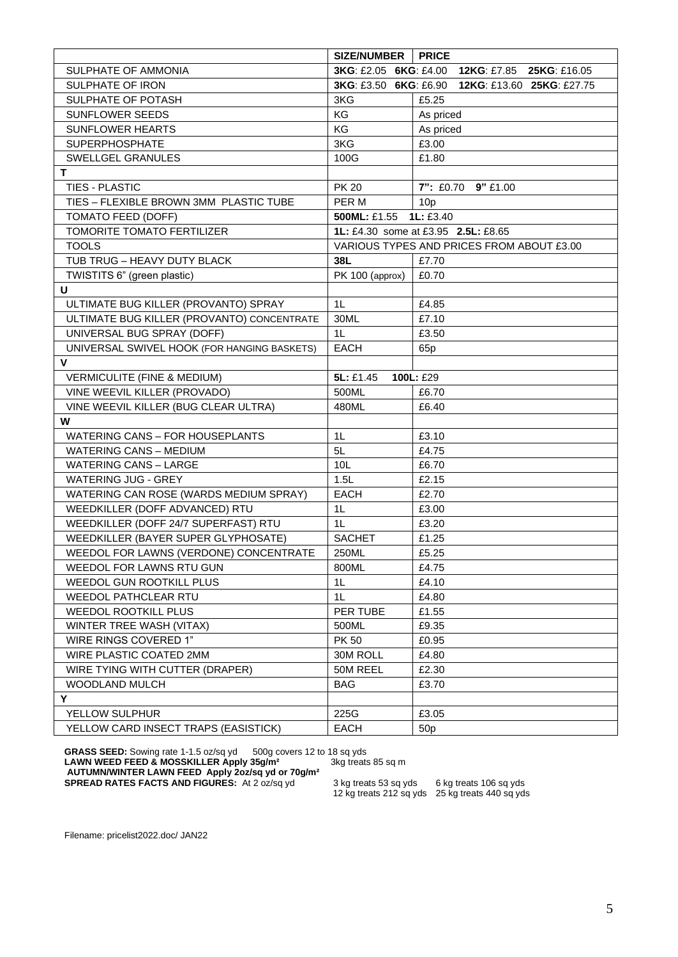|                                             | SIZE/NUMBER                  | <b>PRICE</b>                              |  |  |  |  |
|---------------------------------------------|------------------------------|-------------------------------------------|--|--|--|--|
| SULPHATE OF AMMONIA                         | 3KG: £2.05 6KG: £4.00        | 12KG: £7.85 25KG: £16.05                  |  |  |  |  |
| <b>SULPHATE OF IRON</b>                     | <b>3KG: £3.50 6KG: £6.90</b> | 12KG: £13.60 25KG: £27.75                 |  |  |  |  |
| SULPHATE OF POTASH                          | 3KG                          | £5.25                                     |  |  |  |  |
| SUNFLOWER SEEDS                             | KG                           | As priced                                 |  |  |  |  |
| <b>SUNFLOWER HEARTS</b>                     | KG                           | As priced                                 |  |  |  |  |
| <b>SUPERPHOSPHATE</b>                       | 3KG                          | £3.00                                     |  |  |  |  |
| SWELLGEL GRANULES                           | 100G                         | £1.80                                     |  |  |  |  |
| т                                           |                              |                                           |  |  |  |  |
| <b>TIES - PLASTIC</b>                       | <b>PK 20</b>                 | 7": £0.70 9" £1.00                        |  |  |  |  |
| TIES - FLEXIBLE BROWN 3MM PLASTIC TUBE      | PER M                        | 10 <sub>p</sub>                           |  |  |  |  |
| TOMATO FEED (DOFF)                          | 500ML: £1.55                 | 1L: £3.40                                 |  |  |  |  |
| TOMORITE TOMATO FERTILIZER                  |                              | 1L: £4.30 some at £3.95 2.5L: £8.65       |  |  |  |  |
| <b>TOOLS</b>                                |                              | VARIOUS TYPES AND PRICES FROM ABOUT £3.00 |  |  |  |  |
| TUB TRUG - HEAVY DUTY BLACK                 | 38L                          | £7.70                                     |  |  |  |  |
| TWISTITS 6" (green plastic)                 | PK 100 (approx)              | £0.70                                     |  |  |  |  |
| U                                           |                              |                                           |  |  |  |  |
| ULTIMATE BUG KILLER (PROVANTO) SPRAY        | 1 <sub>L</sub>               | £4.85                                     |  |  |  |  |
| ULTIMATE BUG KILLER (PROVANTO) CONCENTRATE  | 30ML                         | £7.10                                     |  |  |  |  |
| UNIVERSAL BUG SPRAY (DOFF)                  | 1 <sub>L</sub>               | £3.50                                     |  |  |  |  |
| UNIVERSAL SWIVEL HOOK (FOR HANGING BASKETS) | <b>EACH</b>                  | 65 <sub>p</sub>                           |  |  |  |  |
| $\mathsf{V}$                                |                              |                                           |  |  |  |  |
| <b>VERMICULITE (FINE &amp; MEDIUM)</b>      | 5L: £1.45                    | 100L: £29                                 |  |  |  |  |
| VINE WEEVIL KILLER (PROVADO)                | 500ML                        | £6.70                                     |  |  |  |  |
| VINE WEEVIL KILLER (BUG CLEAR ULTRA)        | 480ML                        | £6.40                                     |  |  |  |  |
| W                                           |                              |                                           |  |  |  |  |
| <b>WATERING CANS - FOR HOUSEPLANTS</b>      | 1 <sub>L</sub>               | £3.10                                     |  |  |  |  |
| <b>WATERING CANS - MEDIUM</b>               | 5L                           | £4.75                                     |  |  |  |  |
| <b>WATERING CANS - LARGE</b>                | 10L                          | £6.70                                     |  |  |  |  |
| <b>WATERING JUG - GREY</b>                  | 1.5L                         | £2.15                                     |  |  |  |  |
| WATERING CAN ROSE (WARDS MEDIUM SPRAY)      | <b>EACH</b>                  | £2.70                                     |  |  |  |  |
| WEEDKILLER (DOFF ADVANCED) RTU              | 1 <sub>L</sub>               | £3.00                                     |  |  |  |  |
| WEEDKILLER (DOFF 24/7 SUPERFAST) RTU        | 1 <sub>L</sub>               | £3.20                                     |  |  |  |  |
| WEEDKILLER (BAYER SUPER GLYPHOSATE)         | <b>SACHET</b>                | £1.25                                     |  |  |  |  |
| WEEDOL FOR LAWNS (VERDONE) CONCENTRATE      | 250ML                        | £5.25                                     |  |  |  |  |
| WEEDOL FOR LAWNS RTU GUN                    | 800ML                        | £4.75                                     |  |  |  |  |
| WEEDOL GUN ROOTKILL PLUS                    | 1 <sub>L</sub>               | £4.10                                     |  |  |  |  |
| WEEDOL PATHCLEAR RTU                        | 1 <sub>L</sub>               | £4.80                                     |  |  |  |  |
| WEEDOL ROOTKILL PLUS                        | PER TUBE                     | £1.55                                     |  |  |  |  |
| WINTER TREE WASH (VITAX)                    | 500ML                        | £9.35                                     |  |  |  |  |
| WIRE RINGS COVERED 1"                       | <b>PK 50</b>                 | £0.95                                     |  |  |  |  |
| WIRE PLASTIC COATED 2MM                     | 30M ROLL                     | £4.80                                     |  |  |  |  |
| WIRE TYING WITH CUTTER (DRAPER)             | 50M REEL                     | £2.30                                     |  |  |  |  |
| WOODLAND MULCH                              | <b>BAG</b>                   | £3.70                                     |  |  |  |  |
| Y                                           |                              |                                           |  |  |  |  |
| YELLOW SULPHUR                              | 225G                         | £3.05                                     |  |  |  |  |
| YELLOW CARD INSECT TRAPS (EASISTICK)        | <b>EACH</b>                  | 50 <sub>p</sub>                           |  |  |  |  |

GRASS SEED: Sowing rate 1-1.5 oz/sq yd 500g covers 12 to 18 sq yds **LAWN WEED FEED & MOSSKILLER Apply 35g/m²** 3kg treats 85 sq m **AUTUMN/WINTER LAWN FEED Apply 2oz/sq yd or 70g/m² SPREAD RATES FACTS AND FIGURES:** At 2 oz/sq yd 3 kg treats 53 sq yds 6 kg treats 106 sq yds

3 kg treats 53 sq yds 6 kg treats 106 sq yds<br>12 kg treats 212 sq yds 25 kg treats 440 sq yds

Filename: pricelist2022.doc/ JAN22